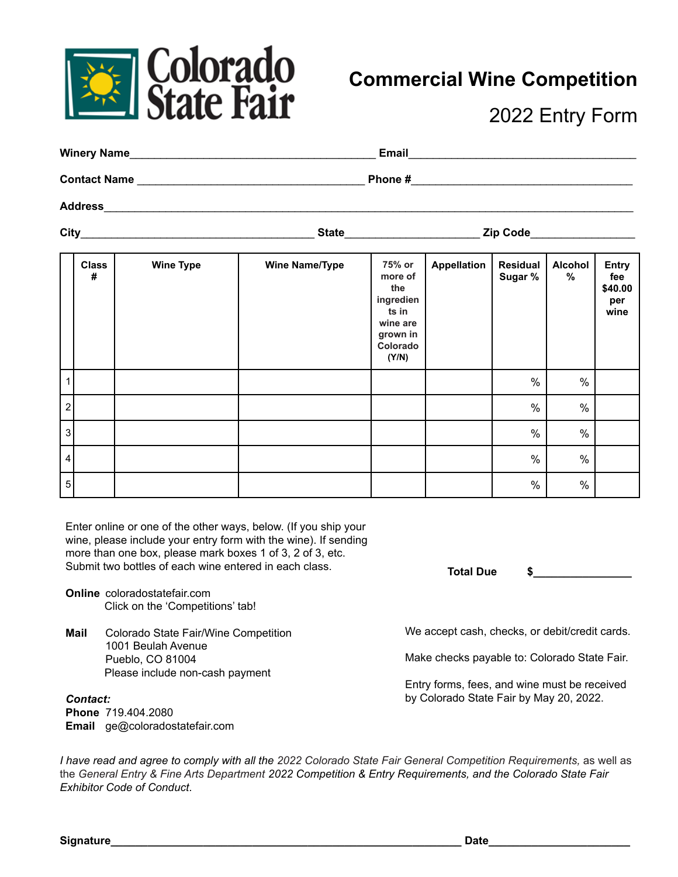

## **Commercial Wine Competition**

2022 Entry Form

| <b>Winery Name</b>  | <b>Email</b> |  |
|---------------------|--------------|--|
| <b>Contact Name</b> | Phone #      |  |
| <b>Address</b>      |              |  |

**City**\_\_\_\_\_\_\_\_\_\_\_\_\_\_\_\_\_\_\_\_\_\_\_\_\_\_\_\_\_\_\_\_\_\_\_\_\_\_ **State**\_\_\_\_\_\_\_\_\_\_\_\_\_\_\_\_\_\_\_\_\_\_ **Zip Code**\_\_\_\_\_\_\_\_\_\_\_\_\_\_\_\_\_

**Class # Wine Type Wine Name/Type 75% or more of the ingredien ts in wine are grown in Colorado (Y/N) Appellation Residual Sugar % Alcohol % Entry fee \$40.00 per wine** 1 % % 2 % % 3 % % 4 % % 5 % %

Enter online or one of the other ways, below. (If you ship your wine, please include your entry form with the wine). If sending more than one box, please mark boxes 1 of 3, 2 of 3, etc. Submit two bottles of each wine entered in each class.

- **Online** coloradostatefair.com Click on the 'Competitions' tab!
- **Mail** Colorado State Fair/Wine Competition 1001 Beulah Avenue Pueblo, CO 81004 Please include non-cash payment

*Contact:* **Phone** 719.404.2080 **Email** ge@coloradostatefair.com **Total Due \$\_\_\_\_\_\_\_\_\_\_\_\_\_\_\_\_**

We accept cash, checks, or debit/credit cards.

Make checks payable to: Colorado State Fair.

Entry forms, fees, and wine must be received by Colorado State Fair by May 20, 2022.

I have read and agree to comply with all the 2022 Colorado State Fair General Competition Requirements, as well as the *General Entry & Fine Arts Department 2022 Competition & Entry Requirements, and the Colorado State Fair Exhibitor Code of Conduct*.